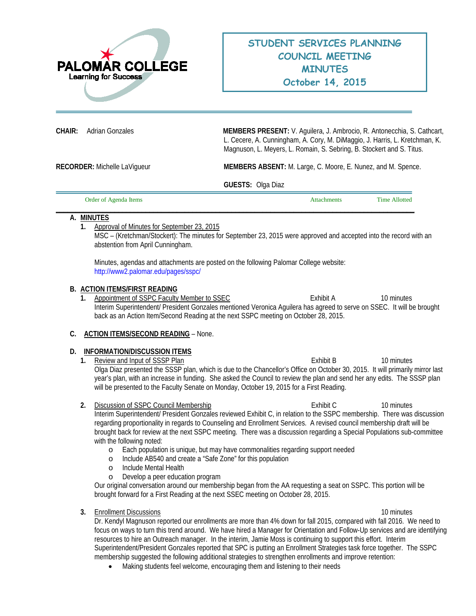

**CHAIR:** Adrian Gonzales **MEMBERS PRESENT:** V. Aguilera, J. Ambrocio, R. Antonecchia, S. Cathcart, L. Cecere, A. Cunningham, A. Cory, M. DiMaggio, J. Harris, L. Kretchman, K. Magnuson, L. Meyers, L. Romain, S. Sebring, B. Stockert and S. Titus.

**RECORDER:** Michelle LaVigueur **MEMBERS ABSENT:** M. Large, C. Moore, E. Nunez, and M. Spence.

**GUESTS:** Olga Diaz

| Order of Agenda Items | Attachments | Time Allotted |
|-----------------------|-------------|---------------|
|                       |             |               |

#### **A. MINUTES**

**1.** Approval of Minutes for September 23, 2015

MSC – (Kretchman/Stockert): The minutes for September 23, 2015 were approved and accepted into the record with an abstention from April Cunningham.

Minutes, agendas and attachments are posted on the following Palomar College website: <http://www2.palomar.edu/pages/sspc/>

#### **B. ACTION ITEMS/FIRST READING**

**1.** Appointment of SSPC Faculty Member to SSEC **Exhibit A** 10 minutes Interim Superintendent/ President Gonzales mentioned Veronica Aguilera has agreed to serve on SSEC. It will be brought back as an Action Item/Second Reading at the next SSPC meeting on October 28, 2015.

# **C. ACTION ITEMS/SECOND READING** – None.

# **D. INFORMATION/DISCUSSION ITEMS**

- **1.** Review and Input of SSSP Plan **1. Exhibit B** 10 minutes Olga Diaz presented the SSSP plan, which is due to the Chancellor's Office on October 30, 2015. It will primarily mirror last year's plan, with an increase in funding. She asked the Council to review the plan and send her any edits. The SSSP plan will be presented to the Faculty Senate on Monday, October 19, 2015 for a First Reading.
- **2.** Discussion of SSPC Council Membership **because the Structure Council Membership 10 minutes** Interim Superintendent/ President Gonzales reviewed Exhibit C, in relation to the SSPC membership. There was discussion regarding proportionality in regards to Counseling and Enrollment Services. A revised council membership draft will be brought back for review at the next SSPC meeting. There was a discussion regarding a Special Populations sub-committee with the following noted:
	- o Each population is unique, but may have commonalities regarding support needed
	- o Include AB540 and create a "Safe Zone" for this population
	- o Include Mental Health
	- o Develop a peer education program

Our original conversation around our membership began from the AA requesting a seat on SSPC. This portion will be brought forward for a First Reading at the next SSEC meeting on October 28, 2015.

**3.** Enrollment Discussions **10 minutes** 10 minutes **10 minutes 10 minutes** 

Dr. Kendyl Magnuson reported our enrollments are more than 4% down for fall 2015, compared with fall 2016. We need to focus on ways to turn this trend around. We have hired a Manager for Orientation and Follow-Up services and are identifying resources to hire an Outreach manager. In the interim, Jamie Moss is continuing to support this effort. Interim Superintendent/President Gonzales reported that SPC is putting an Enrollment Strategies task force together. The SSPC membership suggested the following additional strategies to strengthen enrollments and improve retention:

• Making students feel welcome, encouraging them and listening to their needs